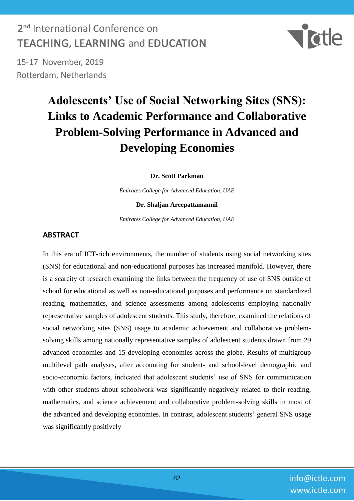### 2<sup>nd</sup> International Conference on **TEACHING. LEARNING and EDUCATION**



15-17 November, 2019 Rotterdam, Netherlands

# **Adolescents' Use of Social Networking Sites (SNS): Links to Academic Performance and Collaborative Problem-Solving Performance in Advanced and Developing Economies**

**Dr. Scott Parkman**

*Emirates College for Advanced Education, UAE*

#### **Dr. Shaljan Areepattamannil**

*Emirates College for Advanced Education, UAE*

#### **ABSTRACT**

In this era of ICT-rich environments, the number of students using social networking sites (SNS) for educational and non-educational purposes has increased manifold. However, there is a scarcity of research examining the links between the frequency of use of SNS outside of school for educational as well as non-educational purposes and performance on standardized reading, mathematics, and science assessments among adolescents employing nationally representative samples of adolescent students. This study, therefore, examined the relations of social networking sites (SNS) usage to academic achievement and collaborative problemsolving skills among nationally representative samples of adolescent students drawn from 29 advanced economies and 15 developing economies across the globe. Results of multigroup multilevel path analyses, after accounting for student- and school-level demographic and socio-economic factors, indicated that adolescent students' use of SNS for communication with other students about schoolwork was significantly negatively related to their reading, mathematics, and science achievement and collaborative problem-solving skills in most of the advanced and developing economies. In contrast, adolescent students' general SNS usage was significantly positively